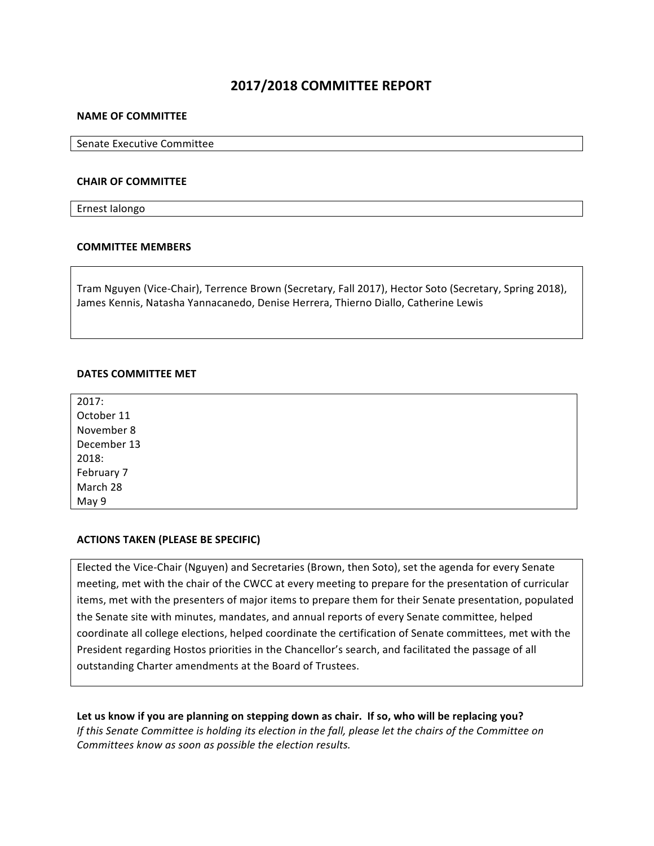# **2017/2018 COMMITTEE REPORT**

#### **NAME OF COMMITTEE**

Senate Executive Committee

#### **CHAIR OF COMMITTEE**

Ernest Ialongo

#### **COMMITTEE MEMBERS**

Tram Nguyen (Vice-Chair), Terrence Brown (Secretary, Fall 2017), Hector Soto (Secretary, Spring 2018), James Kennis, Natasha Yannacanedo, Denise Herrera, Thierno Diallo, Catherine Lewis

#### **DATES COMMITTEE MET**

2017: October 11 November 8 December 13 2018: February 7 March 28 May 9

## **ACTIONS TAKEN (PLEASE BE SPECIFIC)**

Elected the Vice-Chair (Nguyen) and Secretaries (Brown, then Soto), set the agenda for every Senate meeting, met with the chair of the CWCC at every meeting to prepare for the presentation of curricular items, met with the presenters of major items to prepare them for their Senate presentation, populated the Senate site with minutes, mandates, and annual reports of every Senate committee, helped coordinate all college elections, helped coordinate the certification of Senate committees, met with the President regarding Hostos priorities in the Chancellor's search, and facilitated the passage of all outstanding Charter amendments at the Board of Trustees.

Let us know if you are planning on stepping down as chair. If so, who will be replacing you? *If* this Senate Committee is holding its election in the fall, please let the chairs of the Committee on *Committees know as soon as possible the election results.*